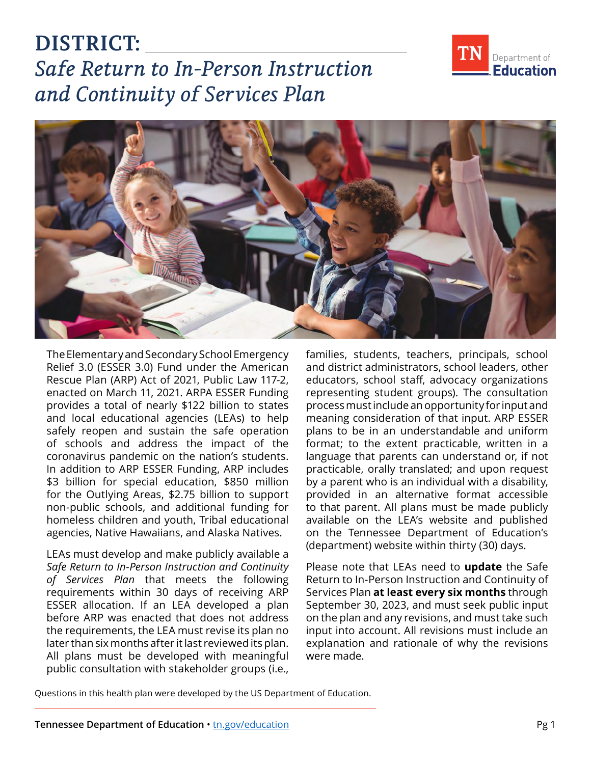**DISTRICT:**  *Safe Return to In-Person Instruction and Continuity of Services Plan* 



The Elementary and Secondary School Emergency Relief 3.0 (ESSER 3.0) Fund under the American Rescue Plan (ARP) Act of 2021, Public Law 117-2, enacted on March 11, 2021. ARPA ESSER Funding provides a total of nearly \$122 billion to states and local educational agencies (LEAs) to help safely reopen and sustain the safe operation of schools and address the impact of the coronavirus pandemic on the nation's students. In addition to ARP ESSER Funding, ARP includes \$3 billion for special education, \$850 million for the Outlying Areas, \$2.75 billion to support non-public schools, and additional funding for homeless children and youth, Tribal educational agencies, Native Hawaiians, and Alaska Natives.

LEAs must develop and make publicly available a *Safe Return to In-Person Instruction and Continuity of Services Plan* that meets the following requirements within 30 days of receiving ARP ESSER allocation. If an LEA developed a plan before ARP was enacted that does not address the requirements, the LEA must revise its plan no later than six months after it last reviewed its plan. All plans must be developed with meaningful public consultation with stakeholder groups (i.e.,

families, students, teachers, principals, school and district administrators, school leaders, other educators, school staff, advocacy organizations representing student groups). The consultation process must include an opportunity for input and meaning consideration of that input. ARP ESSER plans to be in an understandable and uniform format; to the extent practicable, written in a language that parents can understand or, if not practicable, orally translated; and upon request by a parent who is an individual with a disability, provided in an alternative format accessible to that parent. All plans must be made publicly available on the LEA's website and published on the Tennessee Department of Education's (department) website within thirty (30) days.

Please note that LEAs need to **update** the Safe Return to In-Person Instruction and Continuity of Services Plan **at least every six months** through September 30, 2023, and must seek public input on the plan and any revisions, and must take such input into account. All revisions must include an explanation and rationale of why the revisions were made.

Questions in this health plan were developed by the US Department of Education.



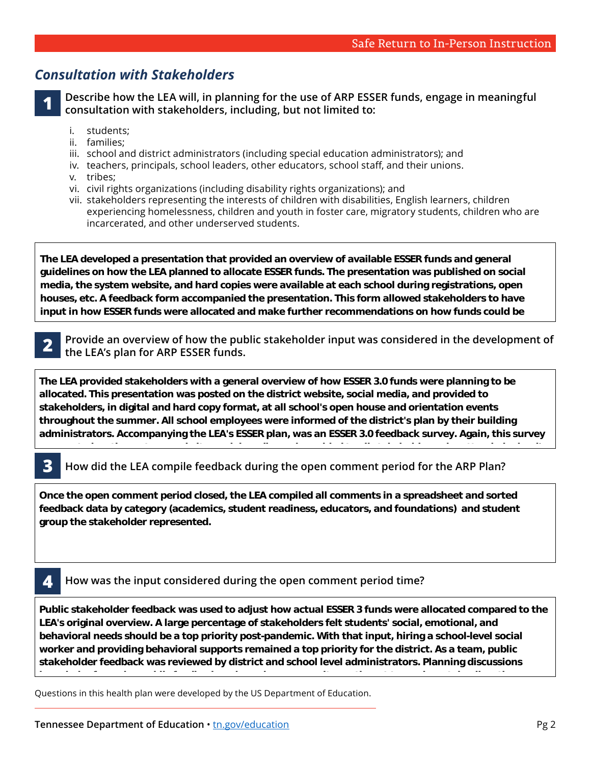# *Consultation with Stakeholders*

**1 Describe how the LEA will, in planning for the use of ARP ESSER funds, engage in meaningful consultation with stakeholders, including, but not limited to:** 

- students:
- ii. families:
- i. students;<br>ii. families;<br>iii. school and district administrators (including special education administrators); and
- iv. teachers, principals, school leaders, other educators, school staff, and their unions.
- v. tribes;
- vi. civil rights organizations (including disability rights organizations); and
- vii. stakeholders representing the interests of children with disabilities, English learners, children experiencing homelessness, children and youth in foster care, migratory students, children who are incarcerated, and other underserved students.

**The LEA developed a presentation that provided an overview of available ESSER funds and general guidelines on how the LEA planned to allocate ESSER funds. The presentation was published on social media, the system website, and hard copies were available at each school during registrations, open houses, etc. A feedback form accompanied the presentation. This form allowed stakeholders to have input in how ESSER funds were allocated and make further recommendations on how funds could be** 

**used. The form provided each stakeholder an opportunity to represent various student subgroups.** 

**feedback was extremely valuable in the development of the plan. Additionally, the school reopening** 

**2 Provide an overview of how the public stakeholder input was considered in the development of the LEA's plan for ARP ESSER funds. decay the LEA's plan for ARP ESSER funds.** The needs of our students of our students of our students of our students. The needs of our students of our students of our students. The needs of our students of our students of

The LEA provided stakeholders with a general overview of how ESSER 3.0 funds were planning to be allocated. This presentation was posted on the district website, social media, and provided to **Community Medical Center's Public Health County Director. The Department of Health worked stakeholders, in digital and hard copy format, at all school's open house and orientation events**  throughout the summer. All school employees were informed of the district's plan by their building administrators. Accompanying the LEA's ESSER plan, was an ESSER 3.0 feedback survey. Again, this survey **students and staff.** 

was posted on the systems website, social media, and provided to all states who attended to all states who attend<br>The system of all states who attended school is all states who attended school is all states who attended sc

### **3 How did the LEA compile feedback during the open comment period for the ARP Plan? Members of the school employees, 2.4% were seen the comment period for the 7.4% many**

**population, 51% indicated they represented students with responsibilities, 24.4% represented students in**  Once the open comment period closed, the LEA compiled all comments in a spreadsheet and sorted feedback data by category (academics, student readiness, educators, and foundations) and student  $\mathbf{s}$  group the stakeholder represented.  $\mathbf{s}$ 

### **4 How was the input considered during the open comment period time?**

**Public stakeholder feedback was used to adjust how actual ESSER 3 funds were allocated compared to the LEA's original overview. A large percentage of stakeholders felt students' social, emotional, and behavioral needs should be a top priority post-pandemic. With that input, hiring a school-level social worker and providing behavioral supports remained a top priority for the district. As a team, public stakeholder feedback was reviewed by district and school level administrators. Planning discussions** 

**invovled referencing public feedback and gauging community sentiment towards certain allocations** 

Questions in this health plan were developed by the US Department of Education. **before final budget allocations were determined.**